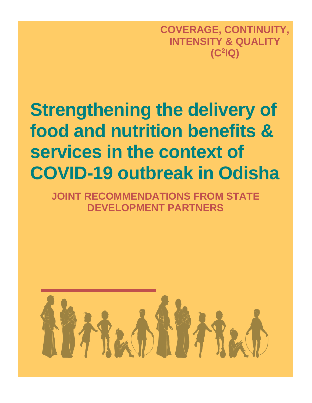**COVERAGE, CONTINUITY, INTENSITY & QUALITY (C<sup>2</sup> IQ)**

# **Strengthening the delivery of food and nutrition benefits & services in the context of COVID-19 outbreak in Odisha**

**JOINT RECOMMENDATIONS FROM STATE DEVELOPMENT PARTNERS**

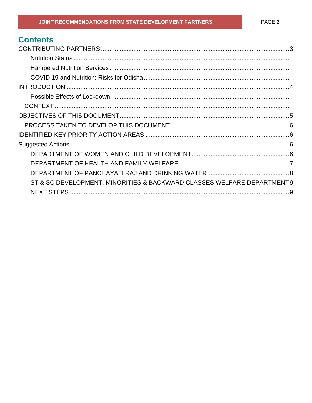# **Contents**

| ST & SC DEVELOPMENT, MINORITIES & BACKWARD CLASSES WELFARE DEPARTMENT 9 |  |
|-------------------------------------------------------------------------|--|
|                                                                         |  |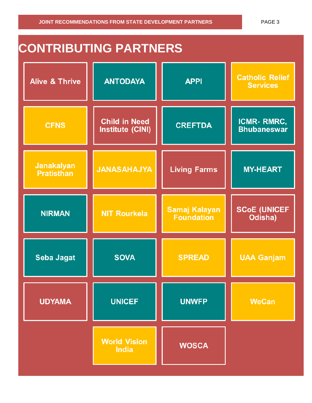# <span id="page-2-0"></span>**CONTRIBUTING PARTNERS Catholic Relief ANTODAYA Alive & Thrive APPI Services Child in Need ICMR-RMRC, CFNS CREFTDA Institute (CINI) Bhubaneswar Janakalyan Living Farms JANASAHAJYA MY-HEART Pratisthan SCoE (UNICEF Samaj Kalayan NIRMAN NIT Rourkela Foundation** Odisha) **Seba Jagat SOVA UAA Ganjam SPREAD UDYAMA UNICEF UNWFP WeCan World Vision WOSCA India**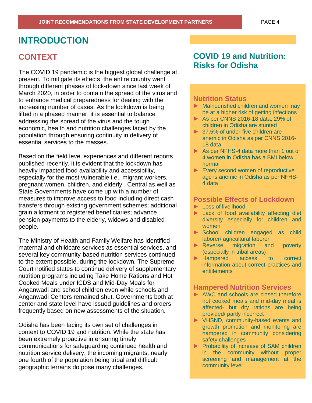### <span id="page-3-0"></span>**INTRODUCTION**

### **CONTEXT**

The COVID 19 pandemic is the biggest global challenge at present. To mitigate its effects, the entire country went through different phases of lock-down since last week of March 2020, in order to contain the spread of the virus and to enhance medical preparedness for dealing with the increasing number of cases. As the lockdown is being lifted in a phased manner, it is essential to balance addressing the spread of the virus and the tough economic, health and nutrition challenges faced by the population through ensuring continuity in delivery of essential services to the masses.

Based on the field level experiences and different reports published recently, it is evident that the lockdown has heavily impacted food availability and accessibility, especially for the most vulnerable i.e., migrant workers, pregnant women, children, and elderly. Central as well as State Governments have come up with a number of measures to improve access to food including direct cash transfers through existing government schemes; additional grain allotment to registered beneficiaries; advance pension payments to the elderly, widows and disabled people.

The Ministry of Health and Family Welfare has identified maternal and childcare services as essential services, and several key community-based nutrition services continued to the extent possible, during the lockdown. The Supreme Court notified states to continue delivery of supplementary nutrition programs including Take Home Rations and Hot Cooked Meals under ICDS and Mid-Day Meals for Anganwadi and school children even while schools and Anganwadi Centers remained shut. Governments both at center and state level have issued guidelines and orders frequently based on new assessments of the situation.

Odisha has been facing its own set of challenges in context to COVID 19 and nutrition. While the state has been extremely proactive in ensuring timely communications for safeguarding continued health and nutrition service delivery, the incoming migrants, nearly one fourth of the population being tribal and difficult geographic terrains do pose many challenges.

### **COVID 19 and Nutrition: Risks for Odisha**

#### **Nutrition Status**

- ► Malnourished children and women may be at a higher risk of getting infections
- ► As per CNNS 2016-18 data, 29% of children in Odisha are stunted
- ► 37.5% of under-five children are anemic in Odisha as per CNNS 2016- 18 data
- ► As per NFHS-4 data more than 1 out of 4 women in Odisha has a BMI below normal
- ► Every second women of reproductive age is anemic in Odisha as per NFHS-4 data

#### **Possible Effects of Lockdown**

- ► Loss of livelihood
- ► Lack of food availability affecting diet diversity especially for children and women
- ► School children engaged as child laborer/ agricultural laborer
- ► Reverse migration and poverty (especially in tribal areas)
- ► Hampered access to correct information about correct practices and entitlements

#### **Hampered Nutrition Services**

- ► AWC and schools are closed therefore hot cooked meals and mid-day meal is affected- but dry rations are being provided/ partly incorrect
- ► VHSND, community-based events and growth promotion and monitoring are hampered in community considering safety challenges
- ► Probability of increase of SAM children in the community without proper screening and management at the community level

commitments for nutrition will be a second commitment of the above and the above and the above and the above a<br>The above and the above and the above and the above and the above and the above and the above and the above an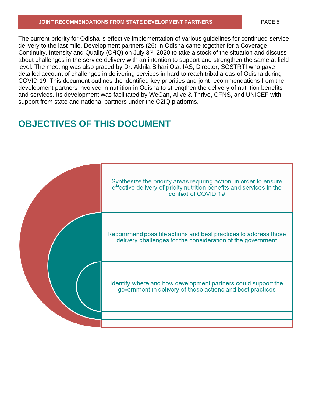#### **JOINT RECOMMENDATIONS FROM STATE DEVELOPMENT PARTNERS** PAGE 5

The current priority for Odisha is effective implementation of various guidelines for continued service delivery to the last mile. Development partners (26) in Odisha came together for a Coverage, Continuity, Intensity and Quality ( $C^2$ IQ) on July  $3^{rd}$ , 2020 to take a stock of the situation and discuss about challenges in the service delivery with an intention to support and strengthen the same at field level. The meeting was also graced by Dr. Akhila Bihari Ota, IAS, Director, SCSTRTI who gave detailed account of challenges in delivering services in hard to reach tribal areas of Odisha during COVID 19. This document outlines the identified key priorities and joint recommendations from the development partners involved in nutrition in Odisha to strengthen the delivery of nutrition benefits and services. Its development was facilitated by WeCan, Alive & Thrive, CFNS, and UNICEF with support from state and national partners under the C2IQ platforms.

# <span id="page-4-0"></span>**OBJECTIVES OF THIS DOCUMENT**

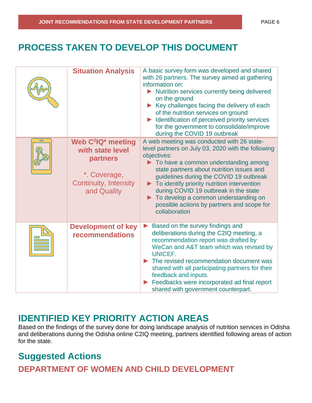# <span id="page-5-0"></span>**PROCESS TAKEN TO DEVELOP THIS DOCUMENT**

|        | <b>Situation Analysis</b>                                                                                                                 | A basic survey form was developed and shared<br>with 26 partners. The survey aimed at gathering<br>information on:<br>Nutrition services currently being delivered<br>on the ground<br>Key challenges facing the delivery of each<br>of the nutrition services on ground<br>Identification of perceived priority services<br>for the government to consolidate/improve<br>during the COVID 19 outbreak                                                               |
|--------|-------------------------------------------------------------------------------------------------------------------------------------------|----------------------------------------------------------------------------------------------------------------------------------------------------------------------------------------------------------------------------------------------------------------------------------------------------------------------------------------------------------------------------------------------------------------------------------------------------------------------|
| $\Box$ | Web C <sup>2</sup> IQ <sup>*</sup> meeting<br>with state level<br>partners<br>*. Coverage,<br><b>Continuity, Intensity</b><br>and Quality | A web meeting was conducted with 26 state-<br>level partners on July 03, 2020 with the following<br>objectives:<br>$\blacktriangleright$ To have a common understanding among<br>state partners about nutrition issues and<br>guidelines during the COVID 19 outbreak<br>To identify priority nutrition intervention<br>during COVID 19 outbreak in the state<br>To develop a common understanding on<br>possible actions by partners and scope for<br>collaboration |
|        | <b>Development of key</b><br><b>recommendations</b>                                                                                       | Based on the survey findings and<br>deliberations during the C2IQ meeting, a<br>recommendation report was drafted by<br>WeCan and A&T team which was revised by<br>UNICEF.<br>The revised recommendation document was<br>shared with all participating partners for their<br>feedback and inputs.<br>Feedbacks were incorporated ad final report<br>shared with government counterpart.                                                                              |

# <span id="page-5-1"></span>**IDENTIFIED KEY PRIORITY ACTION AREAS**

Based on the findings of the survey done for doing landscape analysis of nutrition services in Odisha and deliberations during the Odisha online C2IQ meeting, partners identified following areas of action for the state.

# <span id="page-5-2"></span>**Suggested Actions**

<span id="page-5-3"></span>**DEPARTMENT OF WOMEN AND CHILD DEVELOPMENT**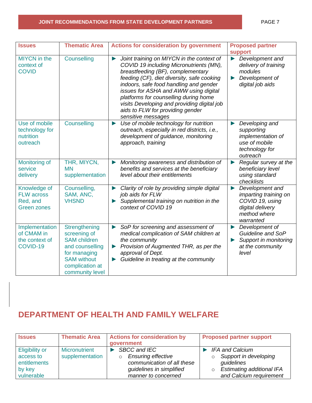#### **JOINT RECOMMENDATIONS FROM STATE DEVELOPMENT PARTNERS PAGE 7**

| <b>Issues</b>                                                       | <b>Thematic Area</b>                                                                                                                                | <b>Actions for consideration by government</b>                                                                                                                                                                                                                                                                                                                                                                                        | <b>Proposed partner</b><br>support                                                                                                         |
|---------------------------------------------------------------------|-----------------------------------------------------------------------------------------------------------------------------------------------------|---------------------------------------------------------------------------------------------------------------------------------------------------------------------------------------------------------------------------------------------------------------------------------------------------------------------------------------------------------------------------------------------------------------------------------------|--------------------------------------------------------------------------------------------------------------------------------------------|
| <b>MIYCN</b> in the<br>context of<br><b>COVID</b>                   | Counselling                                                                                                                                         | Joint training on MIYCN in the context of<br>$\blacktriangleright$<br>COVID 19 including Micronutrients (MN),<br>breastfeeding (BF), complementary<br>feeding (CF), diet diversity, safe cooking<br>indoors, safe food handling and gender<br>issues for ASHA and AWW using digital<br>platforms for counselling during home<br>visits Developing and providing digital job<br>aids to FLW for providing gender<br>sensitive messages | Development and<br>$\blacktriangleright$<br>delivery of training<br>modules<br>Development of<br>$\blacktriangleright$<br>digital job aids |
| Use of mobile<br>technology for<br>nutrition<br>outreach            | Counselling                                                                                                                                         | Use of mobile technology for nutrition<br>$\blacktriangleright$<br>outreach, especially in red districts, i.e.,<br>development of guidance, monitoring<br>approach, training                                                                                                                                                                                                                                                          | Developing and<br>▶<br>supporting<br>implementation of<br>use of mobile<br>technology for<br>outreach                                      |
| Monitoring of<br>service<br>delivery                                | THR, MIYCN,<br><b>MN</b><br>supplementation                                                                                                         | Monitoring awareness and distribution of<br>$\blacktriangleright$<br>benefits and services at the beneficiary<br>level about their entitlements                                                                                                                                                                                                                                                                                       | Regular survey at the<br>$\blacktriangleright$<br>beneficiary level<br>using standard<br>checklists                                        |
| Knowledge of<br><b>FLW across</b><br>Red, and<br><b>Green zones</b> | Counselling,<br>SAM, ANC,<br><b>VHSND</b>                                                                                                           | Clarity of role by providing simple digital<br>▶<br>job aids for FLW<br>Supplemental training on nutrition in the<br>▶<br>context of COVID 19                                                                                                                                                                                                                                                                                         | Development and<br>$\blacktriangleright$<br>imparting training on<br>COVID 19, using<br>digital delivery<br>method where<br>warranted      |
| Implementation<br>of CMAM in<br>the context of<br>COVID-19          | Strengthening<br>screening of<br><b>SAM</b> children<br>and counselling<br>for managing<br><b>SAM</b> without<br>complication at<br>community level | SoP for screening and assessment of<br>$\blacktriangleright$<br>medical complication of SAM children at<br>the community<br>Provision of Augmented THR, as per the<br>$\blacktriangleright$<br>approval of Dept.<br>Guideline in treating at the community                                                                                                                                                                            | $\blacktriangleright$ Development of<br>Guideline and SoP<br>Support in monitoring<br>$\blacktriangleright$<br>at the community<br>level   |

## <span id="page-6-0"></span>**DEPARTMENT OF HEALTH AND FAMILY WELFARE**

| <b>Issues</b>                                                              |                                         | <b>Thematic Area</b>   Actions for consideration by<br>qovernment                                                                 | <b>Proposed partner support</b>                                                                                                  |
|----------------------------------------------------------------------------|-----------------------------------------|-----------------------------------------------------------------------------------------------------------------------------------|----------------------------------------------------------------------------------------------------------------------------------|
| <b>Eligibility or</b><br>access to<br>entitlements<br>by key<br>vulnerable | <b>Micronutrient</b><br>supplementation | <b>SBCC and IEC</b><br><b>Ensuring effective</b><br>communication of all these<br>guidelines in simplified<br>manner to concerned | IFA and Calcium<br>Support in developing<br>$\circ$<br>guidelines<br><b>Estimating additional IFA</b><br>and Calcium requirement |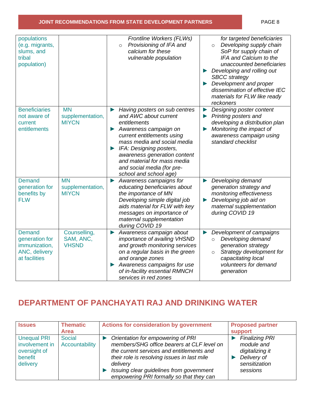#### **JOINT RECOMMENDATIONS FROM STATE DEVELOPMENT PARTNERS** PAGE 8

| populations<br>(e.g. migrants,<br>slums, and<br>tribal<br>population)              |                                               | Frontline Workers (FLWs)<br>Provisioning of IFA and<br>$\circ$<br>calcium for these<br>vulnerable population                                                                                                                                                                                                                  | for targeted beneficiaries<br>Developing supply chain<br>$\circ$<br>SoP for supply chain of<br>IFA and Calcium to the<br>unaccounted beneficiaries<br>Developing and rolling out<br><b>SBCC</b> strategy<br>Development and proper<br>$\blacktriangleright$<br>dissemination of effective IEC<br>materials for FLW like ready<br>reckoners |
|------------------------------------------------------------------------------------|-----------------------------------------------|-------------------------------------------------------------------------------------------------------------------------------------------------------------------------------------------------------------------------------------------------------------------------------------------------------------------------------|--------------------------------------------------------------------------------------------------------------------------------------------------------------------------------------------------------------------------------------------------------------------------------------------------------------------------------------------|
| <b>Beneficiaries</b><br>not aware of<br>current<br>entitlements                    | <b>MN</b><br>supplementation,<br><b>MIYCN</b> | Having posters on sub centres<br>▶<br>and AWC about current<br>entitlements<br>Awareness campaign on<br>▶<br>current entitlements using<br>mass media and social media<br>IFA: Designing posters,<br>▶<br>awareness generation content<br>and material for mass media<br>and social media (for pre-<br>school and school age) | Designing poster content<br>$\blacktriangleright$<br>Printing posters and<br>$\blacktriangleright$<br>developing a distribution plan<br>Monitoring the impact of<br>$\blacktriangleright$<br>awareness campaign using<br>standard checklist                                                                                                |
| <b>Demand</b><br>generation for<br>benefits by<br><b>FLW</b>                       | <b>MN</b><br>supplementation,<br><b>MIYCN</b> | Awareness campaigns for<br>▶<br>educating beneficiaries about<br>the importance of MN<br>Developing simple digital job<br>aids material for FLW with key<br>messages on importance of<br>maternal supplementation<br>during COVID 19                                                                                          | Developing demand<br>▶<br>generation strategy and<br>monitoring effectiveness<br>Developing job aid on<br>▶<br>maternal supplementation<br>during COVID 19                                                                                                                                                                                 |
| <b>Demand</b><br>generation for<br>immunization,<br>ANC, delivery<br>at facilities | Counselling,<br>SAM, ANC,<br><b>VHSND</b>     | Awareness campaign about<br>▶<br>importance of availing VHSND<br>and growth monitoring services<br>on a regular basis in the green<br>and orange zones<br>Awareness campaigns for use<br>of in-facility essential RMNCH<br>services in red zones                                                                              | Development of campaigns<br>▶<br>Developing demand<br>$\circ$<br>generation strategy<br>Strategy development for<br>$\circ$<br>capacitating local<br>volunteers for demand<br>generation                                                                                                                                                   |

## <span id="page-7-0"></span>**DEPARTMENT OF PANCHAYATI RAJ AND DRINKING WATER**

| <b>Issues</b>                                                               | <b>Thematic</b><br>Area         | <b>Actions for consideration by government</b>                                                                                                                                                                                                                                  | <b>Proposed partner</b><br><b>support</b>                                                          |
|-----------------------------------------------------------------------------|---------------------------------|---------------------------------------------------------------------------------------------------------------------------------------------------------------------------------------------------------------------------------------------------------------------------------|----------------------------------------------------------------------------------------------------|
| <b>Unequal PRI</b><br>involvement in<br>oversight of<br>benefit<br>delivery | <b>Social</b><br>Accountability | Orientation for empowering of PRI<br>members/SHG office bearers at CLF level on<br>the current services and entitlements and<br>their role is resolving issues in last mile<br>delivery<br>Issuing clear guidelines from government<br>empowering PRI formally so that they can | <b>Finalizing PRI</b><br>module and<br>digitalizing it<br>Delivery of<br>sensitization<br>sessions |